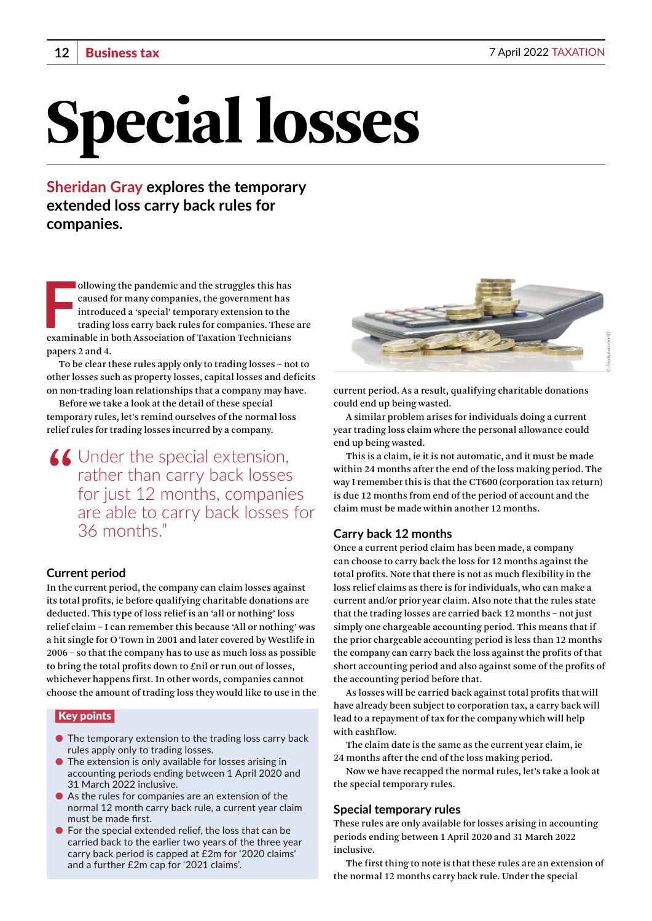# Special losses

**Sheridan Gray explores the temporary extended loss carry back rules for companies.**

Introduced a 'special' temporary extension to the trading loss carry back rules for companies. These examinable in both Association of Taxation Technicians ollowing the pandemic and the struggles this has caused for many companies, the government has introduced a 'special' temporary extension to the trading loss carry back rules for companies. These are papers 2 and 4.

To be clear these rules apply only to trading losses – not to other losses such as property losses, capital losses and deficits on non-trading loan relationships that a company may have.

Before we take a look at the detail of these special temporary rules, let's remind ourselves of the normal loss relief rules for trading losses incurred by a company.

 $\triangle$  Under the special extension, rather than carry back losses for just 12 months, companies are able to carry back losses for 36 months."

# **Current period**

In the current period, the company can claim losses against its total profits, ie before qualifying charitable donations are deducted. This type of loss relief is an 'all or nothing' loss relief claim – I can remember this because 'All or nothing' was a hit single for O Town in 2001 and later covered by Westlife in 2006 – so that the company has to use as much loss as possible to bring the total profits down to £nil or run out of losses, whichever happens first. In other words, companies cannot choose the amount of trading loss they would like to use in the

## Key points

- The temporary extension to the trading loss carry back rules apply only to trading losses.
- The extension is only available for losses arising in accounting periods ending between 1 April 2020 and 31 March 2022 inclusive.
- As the rules for companies are an extension of the normal 12 month carry back rule, a current year claim must be made first.
- $\bullet$  For the special extended relief, the loss that can be carried back to the earlier two years of the three year carry back period is capped at £2m for '2020 claims' and a further £2m cap for '2021 claims'.



current period. As a result, qualifying charitable donations could end up being wasted.

A similar problem arises for individuals doing a current year trading loss claim where the personal allowance could end up being wasted.

This is a claim, ie it is not automatic, and it must be made within 24 months after the end of the loss making period. The way I remember this is that the CT600 (corporation tax return) is due 12 months from end of the period of account and the claim must be made within another 12 months.

## **Carry back 12 months**

Once a current period claim has been made, a company can choose to carry back the loss for 12 months against the total profits. Note that there is not as much flexibility in the loss relief claims as there is for individuals, who can make a current and/or prior year claim. Also note that the rules state that the trading losses are carried back 12 months – not just simply one chargeable accounting period. This means that if the prior chargeable accounting period is less than 12 months the company can carry back the loss against the profits of that short accounting period and also against some of the profits of the accounting period before that.

As losses will be carried back against total profits that will have already been subject to corporation tax, a carry back will lead to a repayment of tax for the company which will help with cashflow.

The claim date is the same as the current year claim, ie 24 months after the end of the loss making period.

Now we have recapped the normal rules, let's take a look at the special temporary rules.

#### **Special temporary rules**

These rules are only available for losses arising in accounting periods ending between 1 April 2020 and 31 March 2022 inclusive.

The first thing to note is that these rules are an extension of the normal 12 months carry back rule. Under the special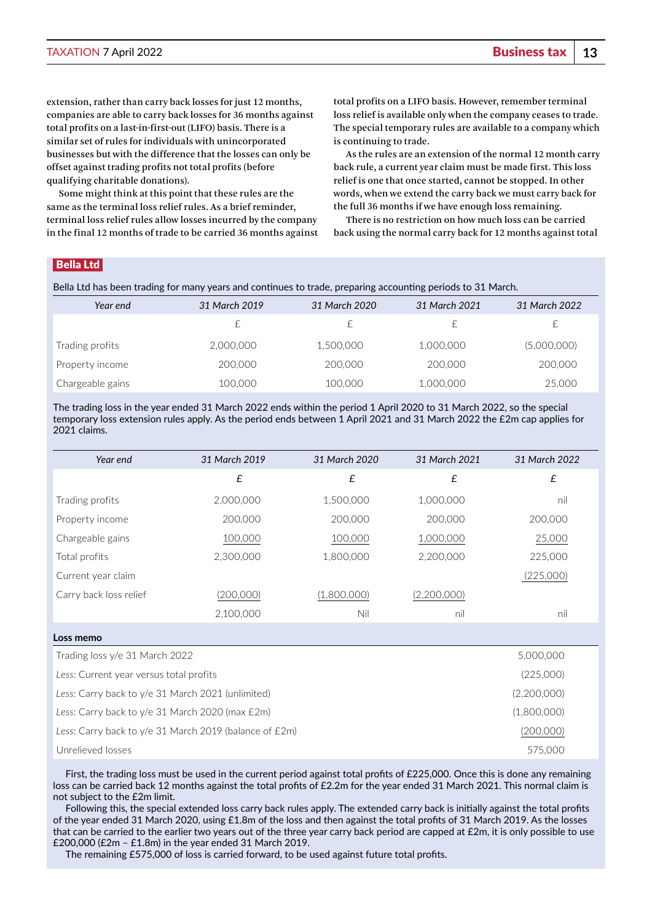extension, rather than carry back losses for just 12 months, companies are able to carry back losses for 36 months against total profits on a last-in-first-out (LIFO) basis. There is a similar set of rules for individuals with unincorporated businesses but with the difference that the losses can only be offset against trading profits not total profits (before qualifying charitable donations).

Some might think at this point that these rules are the same as the terminal loss relief rules. As a brief reminder, terminal loss relief rules allow losses incurred by the company in the final 12 months of trade to be carried 36 months against total profits on a LIFO basis. However, remember terminal loss relief is available only when the company ceases to trade. The special temporary rules are available to a company which is continuing to trade.

As the rules are an extension of the normal 12 month carry back rule, a current year claim must be made first. This loss relief is one that once started, cannot be stopped. In other words, when we extend the carry back we must carry back for the full 36 months if we have enough loss remaining.

There is no restriction on how much loss can be carried back using the normal carry back for 12 months against total

# Bella Ltd

Bella Ltd has been trading for many years and continues to trade, preparing accounting periods to 31 March.

| Year end          | 31 March 2019 | 31 March 2020 | 31 March 2021 | 31 March 2022 |
|-------------------|---------------|---------------|---------------|---------------|
|                   |               |               |               |               |
| Trading profits I | 2,000,000     | 1,500,000     | 1,000,000     | (5,000,000)   |
| Property income   | 200,000       | 200,000       | 200,000       | 200,000       |
| Chargeable gains  | 100,000       | 100,000       | 1,000,000     | 25,000        |

The trading loss in the year ended 31 March 2022 ends within the period 1 April 2020 to 31 March 2022, so the special temporary loss extension rules apply. As the period ends between 1 April 2021 and 31 March 2022 the £2m cap applies for 2021 claims.

| Year end                                          | 31 March 2019 | 31 March 2020 | 31 March 2021 | 31 March 2022 |
|---------------------------------------------------|---------------|---------------|---------------|---------------|
|                                                   | £             | £             | £             | £             |
| Trading profits                                   | 2,000,000     | 1,500,000     | 1,000,000     | nil           |
| Property income                                   | 200,000       | 200,000       | 200,000       | 200,000       |
| Chargeable gains                                  | 100,000       | 100,000       | 1,000,000     | 25,000        |
| Total profits                                     | 2,300,000     | 1,800,000     | 2,200,000     | 225,000       |
| Current year claim                                |               |               |               | (225,000)     |
| Carry back loss relief                            | (200,000)     | (1,800,000)   | (2,200,000)   |               |
|                                                   | 2,100,000     | Nil           | nil           | nil           |
| Loss memo                                         |               |               |               |               |
| Trading loss y/e 31 March 2022                    |               | 5,000,000     |               |               |
| Less: Current year versus total profits           |               |               |               | (225,000)     |
| Less: Carry back to y/e 31 March 2021 (unlimited) |               |               |               | (2,200,000)   |

*Less*: Carry back to y/e 31 March 2020 (max £2m) (1,800,000) *Less*: Carry back to y/e 31 March 2019 (balance of £2m) (200,000) Unrelieved losses 575,000

First, the trading loss must be used in the current period against total profits of £225,000. Once this is done any remaining loss can be carried back 12 months against the total profits of £2.2m for the year ended 31 March 2021. This normal claim is not subject to the £2m limit.

Following this, the special extended loss carry back rules apply. The extended carry back is initially against the total profits of the year ended 31 March 2020, using £1.8m of the loss and then against the total profits of 31 March 2019. As the losses that can be carried to the earlier two years out of the three year carry back period are capped at £2m, it is only possible to use £200,000 (£2m – £1.8m) in the year ended 31 March 2019.

The remaining £575,000 of loss is carried forward, to be used against future total profits.